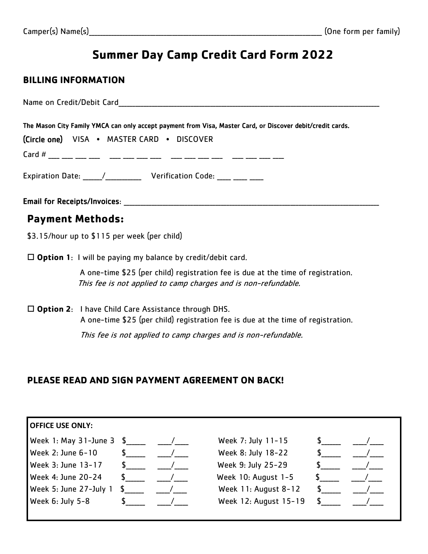# **Summer Day Camp Credit Card Form 2022**

#### **BILLING INFORMATION**

Name on Credit/Debit Card\_\_\_\_\_\_\_\_\_\_\_\_\_\_\_\_\_\_\_\_\_\_\_\_\_\_\_\_\_\_\_\_\_\_\_\_\_\_\_\_\_\_\_\_\_\_\_\_\_\_\_\_\_\_\_\_\_\_\_\_\_\_\_\_\_\_\_\_\_\_\_\_\_\_\_\_\_\_\_\_\_\_\_\_\_\_\_\_\_\_\_\_\_\_

The Mason City Family YMCA can only accept payment from Visa, Master Card, or Discover debit/credit cards.

(Circle one) VISA • MASTER CARD • DISCOVER

| $C$ <sub>nrd</sub> $H$ | ---- --- ---- --- --- |  |  |  | ---- ---- ---- ---- |  | ________________________________ |  |  |
|------------------------|-----------------------|--|--|--|---------------------|--|----------------------------------|--|--|
|                        |                       |  |  |  |                     |  |                                  |  |  |
|                        |                       |  |  |  |                     |  |                                  |  |  |
|                        |                       |  |  |  |                     |  |                                  |  |  |

| <b>Expiration Date:</b> | <b>Verification Code:</b> |  |  |
|-------------------------|---------------------------|--|--|
|                         |                           |  |  |

Email for Receipts/Invoices: \_\_\_\_\_\_\_\_\_\_\_\_\_\_\_\_\_\_\_\_\_\_\_\_\_\_\_\_\_\_\_\_\_\_\_\_\_\_\_\_\_\_\_\_\_\_\_\_\_\_\_\_\_\_\_\_\_\_\_\_\_\_\_\_\_\_\_\_\_\_\_\_\_\_\_\_\_\_\_\_\_\_\_\_\_\_\_\_\_\_\_\_

# **Payment Methods:**

\$3.15/hour up to \$115 per week (per child)

**Option 1**: I will be paying my balance by credit/debit card.

A one-time \$25 (per child) registration fee is due at the time of registration. This fee is not applied to camp charges and is non-refundable.

 **Option 2**: I have Child Care Assistance through DHS. A one-time \$25 (per child) registration fee is due at the time of registration.

This fee is not applied to camp charges and is non-refundable.

## **PLEASE READ AND SIGN PAYMENT AGREEMENT ON BACK!**

| <b>OFFICE USE ONLY:</b> |        |                      |                       |  |  |  |  |  |  |
|-------------------------|--------|----------------------|-----------------------|--|--|--|--|--|--|
| Week 1: May 31-June 3   |        | $\sim$ $\sim$ $\sim$ | Week 7: July 11-15    |  |  |  |  |  |  |
| Week 2: June 6-10       |        |                      | Week 8: July 18-22    |  |  |  |  |  |  |
| Week 3: June 13-17      |        |                      | Week 9: July 25-29    |  |  |  |  |  |  |
| Week 4: June 20-24      |        |                      | Week 10: August 1-5   |  |  |  |  |  |  |
| Week 5: June 27-July 1  | $\sim$ |                      | Week 11: August 8-12  |  |  |  |  |  |  |
| Week 6: July 5-8        |        |                      | Week 12: August 15-19 |  |  |  |  |  |  |
|                         |        |                      |                       |  |  |  |  |  |  |